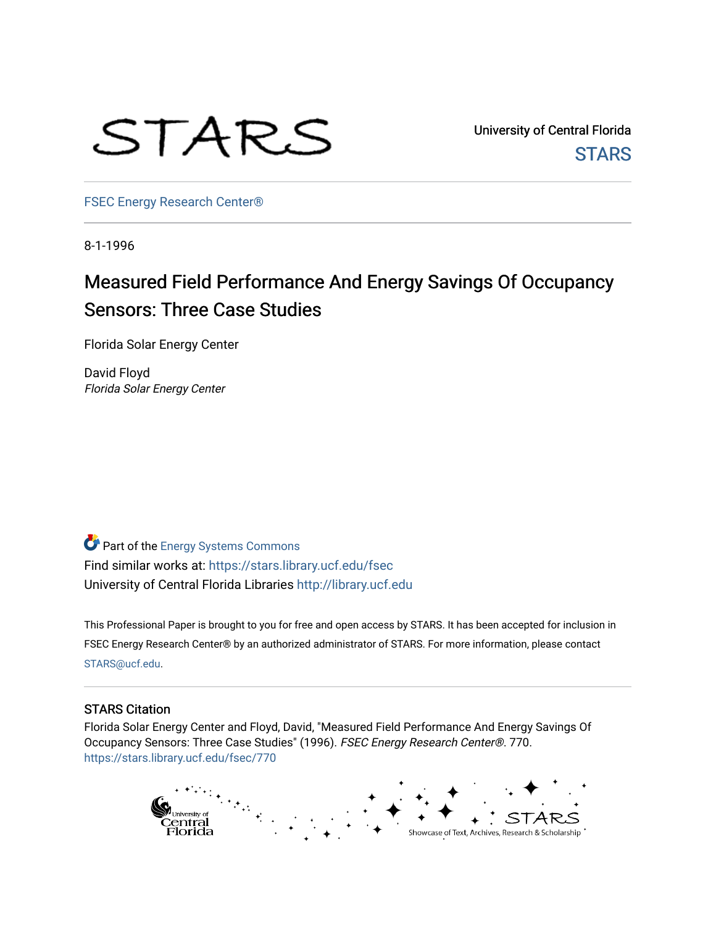

University of Central Florida **STARS** 

[FSEC Energy Research Center®](https://stars.library.ucf.edu/fsec) 

8-1-1996

# Measured Field Performance And Energy Savings Of Occupancy Sensors: Three Case Studies

Florida Solar Energy Center

David Floyd Florida Solar Energy Center

Part of the [Energy Systems Commons](http://network.bepress.com/hgg/discipline/299?utm_source=stars.library.ucf.edu%2Ffsec%2F770&utm_medium=PDF&utm_campaign=PDFCoverPages)  Find similar works at: <https://stars.library.ucf.edu/fsec> University of Central Florida Libraries [http://library.ucf.edu](http://library.ucf.edu/) 

This Professional Paper is brought to you for free and open access by STARS. It has been accepted for inclusion in FSEC Energy Research Center® by an authorized administrator of STARS. For more information, please contact [STARS@ucf.edu](mailto:STARS@ucf.edu).

# STARS Citation

Florida Solar Energy Center and Floyd, David, "Measured Field Performance And Energy Savings Of Occupancy Sensors: Three Case Studies" (1996). FSEC Energy Research Center®. 770. [https://stars.library.ucf.edu/fsec/770](https://stars.library.ucf.edu/fsec/770?utm_source=stars.library.ucf.edu%2Ffsec%2F770&utm_medium=PDF&utm_campaign=PDFCoverPages)

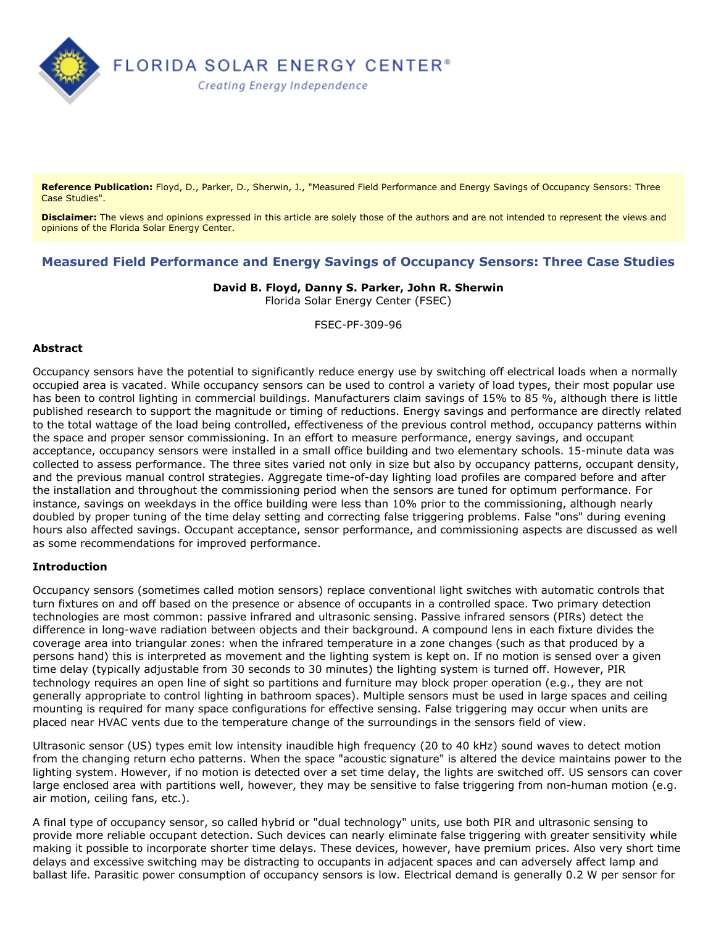

**Reference Publication:** Floyd, D., Parker, D., Sherwin, J., "Measured Field Performance and Energy Savings of Occupancy Sensors: Three Case Studies".

**Disclaimer:** The views and opinions expressed in this article are solely those of the authors and are not intended to represent the views and opinions of the Florida Solar Energy Center.

# **Measured Field Performance and Energy Savings of Occupancy Sensors: Three Case Studies**

## **David B. Floyd, Danny S. Parker, John R. Sherwin**

Florida Solar Energy Center (FSEC)

FSEC-PF-309-96

#### **Abstract**

Occupancy sensors have the potential to significantly reduce energy use by switching off electrical loads when a normally occupied area is vacated. While occupancy sensors can be used to control a variety of load types, their most popular use has been to control lighting in commercial buildings. Manufacturers claim savings of 15% to 85 %, although there is little published research to support the magnitude or timing of reductions. Energy savings and performance are directly related to the total wattage of the load being controlled, effectiveness of the previous control method, occupancy patterns within the space and proper sensor commissioning. In an effort to measure performance, energy savings, and occupant acceptance, occupancy sensors were installed in a small office building and two elementary schools. 15-minute data was collected to assess performance. The three sites varied not only in size but also by occupancy patterns, occupant density, and the previous manual control strategies. Aggregate time-of-day lighting load profiles are compared before and after the installation and throughout the commissioning period when the sensors are tuned for optimum performance. For instance, savings on weekdays in the office building were less than 10% prior to the commissioning, although nearly doubled by proper tuning of the time delay setting and correcting false triggering problems. False "ons" during evening hours also affected savings. Occupant acceptance, sensor performance, and commissioning aspects are discussed as well as some recommendations for improved performance.

## **Introduction**

Occupancy sensors (sometimes called motion sensors) replace conventional light switches with automatic controls that turn fixtures on and off based on the presence or absence of occupants in a controlled space. Two primary detection technologies are most common: passive infrared and ultrasonic sensing. Passive infrared sensors (PIRs) detect the difference in long-wave radiation between objects and their background. A compound lens in each fixture divides the coverage area into triangular zones: when the infrared temperature in a zone changes (such as that produced by a persons hand) this is interpreted as movement and the lighting system is kept on. If no motion is sensed over a given time delay (typically adjustable from 30 seconds to 30 minutes) the lighting system is turned off. However, PIR technology requires an open line of sight so partitions and furniture may block proper operation (e.g., they are not generally appropriate to control lighting in bathroom spaces). Multiple sensors must be used in large spaces and ceiling mounting is required for many space configurations for effective sensing. False triggering may occur when units are placed near HVAC vents due to the temperature change of the surroundings in the sensors field of view.

Ultrasonic sensor (US) types emit low intensity inaudible high frequency (20 to 40 kHz) sound waves to detect motion from the changing return echo patterns. When the space "acoustic signature" is altered the device maintains power to the lighting system. However, if no motion is detected over a set time delay, the lights are switched off. US sensors can cover large enclosed area with partitions well, however, they may be sensitive to false triggering from non-human motion (e.g. air motion, ceiling fans, etc.).

A final type of occupancy sensor, so called hybrid or "dual technology" units, use both PIR and ultrasonic sensing to provide more reliable occupant detection. Such devices can nearly eliminate false triggering with greater sensitivity while making it possible to incorporate shorter time delays. These devices, however, have premium prices. Also very short time delays and excessive switching may be distracting to occupants in adjacent spaces and can adversely affect lamp and ballast life. Parasitic power consumption of occupancy sensors is low. Electrical demand is generally 0.2 W per sensor for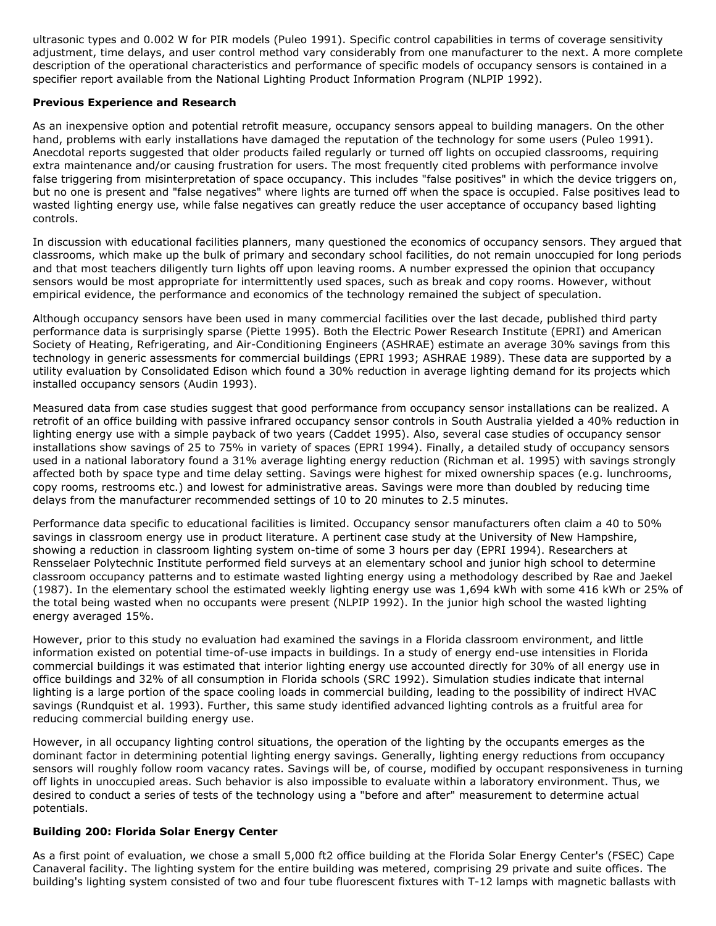ultrasonic types and 0.002 W for PIR models (Puleo 1991). Specific control capabilities in terms of coverage sensitivity adjustment, time delays, and user control method vary considerably from one manufacturer to the next. A more complete description of the operational characteristics and performance of specific models of occupancy sensors is contained in a specifier report available from the National Lighting Product Information Program (NLPIP 1992).

## **Previous Experience and Research**

As an inexpensive option and potential retrofit measure, occupancy sensors appeal to building managers. On the other hand, problems with early installations have damaged the reputation of the technology for some users (Puleo 1991). Anecdotal reports suggested that older products failed regularly or turned off lights on occupied classrooms, requiring extra maintenance and/or causing frustration for users. The most frequently cited problems with performance involve false triggering from misinterpretation of space occupancy. This includes "false positives" in which the device triggers on, but no one is present and "false negatives" where lights are turned off when the space is occupied. False positives lead to wasted lighting energy use, while false negatives can greatly reduce the user acceptance of occupancy based lighting controls.

In discussion with educational facilities planners, many questioned the economics of occupancy sensors. They argued that classrooms, which make up the bulk of primary and secondary school facilities, do not remain unoccupied for long periods and that most teachers diligently turn lights off upon leaving rooms. A number expressed the opinion that occupancy sensors would be most appropriate for intermittently used spaces, such as break and copy rooms. However, without empirical evidence, the performance and economics of the technology remained the subject of speculation.

Although occupancy sensors have been used in many commercial facilities over the last decade, published third party performance data is surprisingly sparse (Piette 1995). Both the Electric Power Research Institute (EPRI) and American Society of Heating, Refrigerating, and Air-Conditioning Engineers (ASHRAE) estimate an average 30% savings from this technology in generic assessments for commercial buildings (EPRI 1993; ASHRAE 1989). These data are supported by a utility evaluation by Consolidated Edison which found a 30% reduction in average lighting demand for its projects which installed occupancy sensors (Audin 1993).

Measured data from case studies suggest that good performance from occupancy sensor installations can be realized. A retrofit of an office building with passive infrared occupancy sensor controls in South Australia yielded a 40% reduction in lighting energy use with a simple payback of two years (Caddet 1995). Also, several case studies of occupancy sensor installations show savings of 25 to 75% in variety of spaces (EPRI 1994). Finally, a detailed study of occupancy sensors used in a national laboratory found a 31% average lighting energy reduction (Richman et al. 1995) with savings strongly affected both by space type and time delay setting. Savings were highest for mixed ownership spaces (e.g. lunchrooms, copy rooms, restrooms etc.) and lowest for administrative areas. Savings were more than doubled by reducing time delays from the manufacturer recommended settings of 10 to 20 minutes to 2.5 minutes.

Performance data specific to educational facilities is limited. Occupancy sensor manufacturers often claim a 40 to 50% savings in classroom energy use in product literature. A pertinent case study at the University of New Hampshire, showing a reduction in classroom lighting system on-time of some 3 hours per day (EPRI 1994). Researchers at Rensselaer Polytechnic Institute performed field surveys at an elementary school and junior high school to determine classroom occupancy patterns and to estimate wasted lighting energy using a methodology described by Rae and Jaekel (1987). In the elementary school the estimated weekly lighting energy use was 1,694 kWh with some 416 kWh or 25% of the total being wasted when no occupants were present (NLPIP 1992). In the junior high school the wasted lighting energy averaged 15%.

However, prior to this study no evaluation had examined the savings in a Florida classroom environment, and little information existed on potential time-of-use impacts in buildings. In a study of energy end-use intensities in Florida commercial buildings it was estimated that interior lighting energy use accounted directly for 30% of all energy use in office buildings and 32% of all consumption in Florida schools (SRC 1992). Simulation studies indicate that internal lighting is a large portion of the space cooling loads in commercial building, leading to the possibility of indirect HVAC savings (Rundquist et al. 1993). Further, this same study identified advanced lighting controls as a fruitful area for reducing commercial building energy use.

However, in all occupancy lighting control situations, the operation of the lighting by the occupants emerges as the dominant factor in determining potential lighting energy savings. Generally, lighting energy reductions from occupancy sensors will roughly follow room vacancy rates. Savings will be, of course, modified by occupant responsiveness in turning off lights in unoccupied areas. Such behavior is also impossible to evaluate within a laboratory environment. Thus, we desired to conduct a series of tests of the technology using a "before and after" measurement to determine actual potentials.

## **Building 200: Florida Solar Energy Center**

As a first point of evaluation, we chose a small 5,000 ft2 office building at the Florida Solar Energy Center's (FSEC) Cape Canaveral facility. The lighting system for the entire building was metered, comprising 29 private and suite offices. The building's lighting system consisted of two and four tube fluorescent fixtures with T-12 lamps with magnetic ballasts with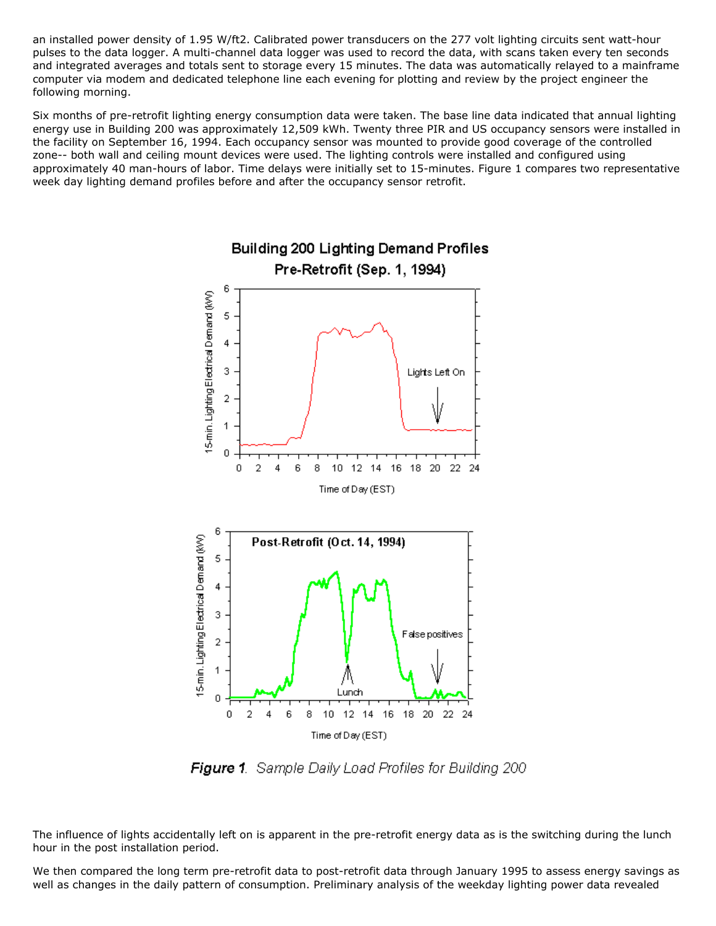an installed power density of 1.95 W/ft2. Calibrated power transducers on the 277 volt lighting circuits sent watt-hour pulses to the data logger. A multi-channel data logger was used to record the data, with scans taken every ten seconds and integrated averages and totals sent to storage every 15 minutes. The data was automatically relayed to a mainframe computer via modem and dedicated telephone line each evening for plotting and review by the project engineer the following morning.

Six months of pre-retrofit lighting energy consumption data were taken. The base line data indicated that annual lighting energy use in Building 200 was approximately 12,509 kWh. Twenty three PIR and US occupancy sensors were installed in the facility on September 16, 1994. Each occupancy sensor was mounted to provide good coverage of the controlled zone-- both wall and ceiling mount devices were used. The lighting controls were installed and configured using approximately 40 man-hours of labor. Time delays were initially set to 15-minutes. Figure 1 compares two representative week day lighting demand profiles before and after the occupancy sensor retrofit.



**Figure 1**. Sample Daily Load Profiles for Building 200

The influence of lights accidentally left on is apparent in the pre-retrofit energy data as is the switching during the lunch hour in the post installation period.

We then compared the long term pre-retrofit data to post-retrofit data through January 1995 to assess energy savings as well as changes in the daily pattern of consumption. Preliminary analysis of the weekday lighting power data revealed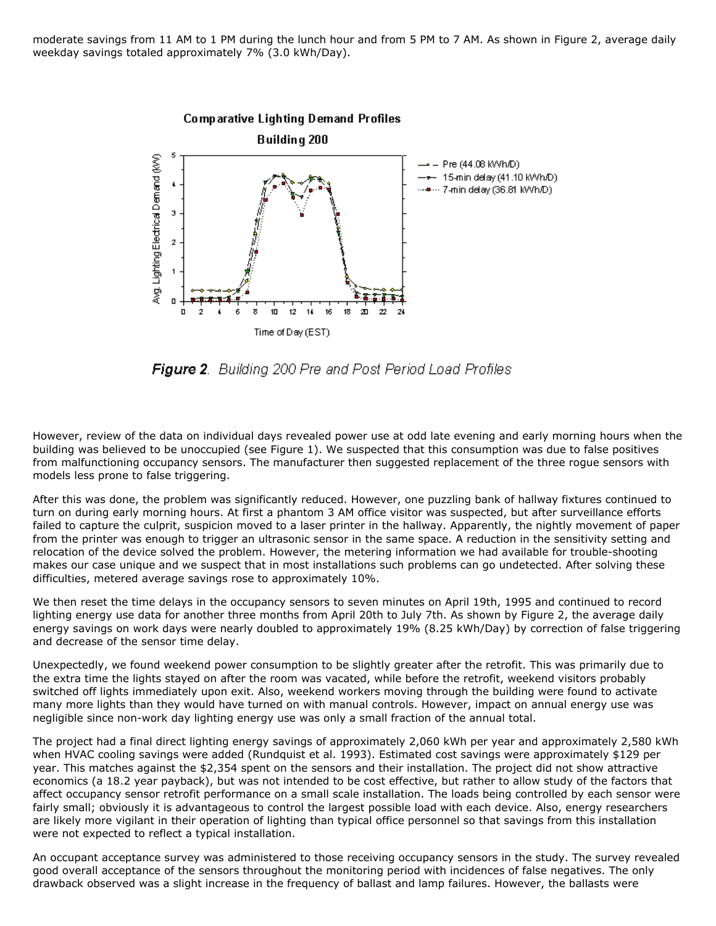moderate savings from 11 AM to 1 PM during the lunch hour and from 5 PM to 7 AM. As shown in Figure 2, average daily weekday savings totaled approximately 7% (3.0 kWh/Day).



**Figure 2**. Building 200 Pre and Post Period Load Profiles

However, review of the data on individual days revealed power use at odd late evening and early morning hours when the building was believed to be unoccupied (see Figure 1). We suspected that this consumption was due to false positives from malfunctioning occupancy sensors. The manufacturer then suggested replacement of the three rogue sensors with models less prone to false triggering.

After this was done, the problem was significantly reduced. However, one puzzling bank of hallway fixtures continued to turn on during early morning hours. At first a phantom 3 AM office visitor was suspected, but after surveillance efforts failed to capture the culprit, suspicion moved to a laser printer in the hallway. Apparently, the nightly movement of paper from the printer was enough to trigger an ultrasonic sensor in the same space. A reduction in the sensitivity setting and relocation of the device solved the problem. However, the metering information we had available for trouble-shooting makes our case unique and we suspect that in most installations such problems can go undetected. After solving these difficulties, metered average savings rose to approximately 10%.

We then reset the time delays in the occupancy sensors to seven minutes on April 19th, 1995 and continued to record lighting energy use data for another three months from April 20th to July 7th. As shown by Figure 2, the average daily energy savings on work days were nearly doubled to approximately 19% (8.25 kWh/Day) by correction of false triggering and decrease of the sensor time delay.

Unexpectedly, we found weekend power consumption to be slightly greater after the retrofit. This was primarily due to the extra time the lights stayed on after the room was vacated, while before the retrofit, weekend visitors probably switched off lights immediately upon exit. Also, weekend workers moving through the building were found to activate many more lights than they would have turned on with manual controls. However, impact on annual energy use was negligible since non-work day lighting energy use was only a small fraction of the annual total.

The project had a final direct lighting energy savings of approximately 2,060 kWh per year and approximately 2,580 kWh when HVAC cooling savings were added (Rundquist et al. 1993). Estimated cost savings were approximately \$129 per year. This matches against the \$2,354 spent on the sensors and their installation. The project did not show attractive economics (a 18.2 year payback), but was not intended to be cost effective, but rather to allow study of the factors that affect occupancy sensor retrofit performance on a small scale installation. The loads being controlled by each sensor were fairly small; obviously it is advantageous to control the largest possible load with each device. Also, energy researchers are likely more vigilant in their operation of lighting than typical office personnel so that savings from this installation were not expected to reflect a typical installation.

An occupant acceptance survey was administered to those receiving occupancy sensors in the study. The survey revealed good overall acceptance of the sensors throughout the monitoring period with incidences of false negatives. The only drawback observed was a slight increase in the frequency of ballast and lamp failures. However, the ballasts were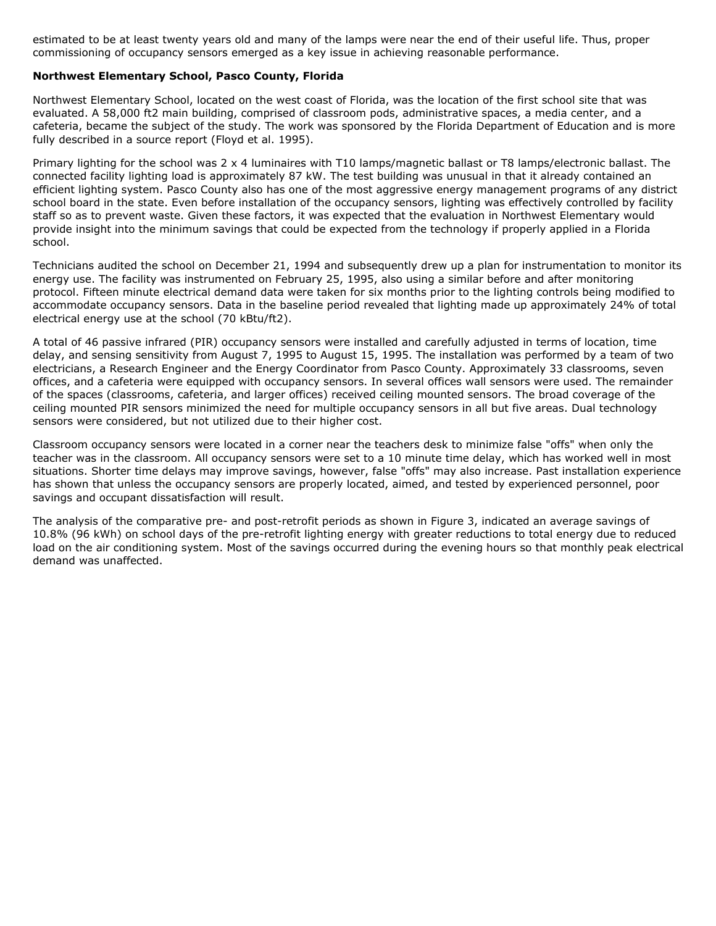estimated to be at least twenty years old and many of the lamps were near the end of their useful life. Thus, proper commissioning of occupancy sensors emerged as a key issue in achieving reasonable performance.

#### **Northwest Elementary School, Pasco County, Florida**

Northwest Elementary School, located on the west coast of Florida, was the location of the first school site that was evaluated. A 58,000 ft2 main building, comprised of classroom pods, administrative spaces, a media center, and a cafeteria, became the subject of the study. The work was sponsored by the Florida Department of Education and is more fully described in a source report (Floyd et al. 1995).

Primary lighting for the school was 2 x 4 luminaires with T10 lamps/magnetic ballast or T8 lamps/electronic ballast. The connected facility lighting load is approximately 87 kW. The test building was unusual in that it already contained an efficient lighting system. Pasco County also has one of the most aggressive energy management programs of any district school board in the state. Even before installation of the occupancy sensors, lighting was effectively controlled by facility staff so as to prevent waste. Given these factors, it was expected that the evaluation in Northwest Elementary would provide insight into the minimum savings that could be expected from the technology if properly applied in a Florida school.

Technicians audited the school on December 21, 1994 and subsequently drew up a plan for instrumentation to monitor its energy use. The facility was instrumented on February 25, 1995, also using a similar before and after monitoring protocol. Fifteen minute electrical demand data were taken for six months prior to the lighting controls being modified to accommodate occupancy sensors. Data in the baseline period revealed that lighting made up approximately 24% of total electrical energy use at the school (70 kBtu/ft2).

A total of 46 passive infrared (PIR) occupancy sensors were installed and carefully adjusted in terms of location, time delay, and sensing sensitivity from August 7, 1995 to August 15, 1995. The installation was performed by a team of two electricians, a Research Engineer and the Energy Coordinator from Pasco County. Approximately 33 classrooms, seven offices, and a cafeteria were equipped with occupancy sensors. In several offices wall sensors were used. The remainder of the spaces (classrooms, cafeteria, and larger offices) received ceiling mounted sensors. The broad coverage of the ceiling mounted PIR sensors minimized the need for multiple occupancy sensors in all but five areas. Dual technology sensors were considered, but not utilized due to their higher cost.

Classroom occupancy sensors were located in a corner near the teachers desk to minimize false "offs" when only the teacher was in the classroom. All occupancy sensors were set to a 10 minute time delay, which has worked well in most situations. Shorter time delays may improve savings, however, false "offs" may also increase. Past installation experience has shown that unless the occupancy sensors are properly located, aimed, and tested by experienced personnel, poor savings and occupant dissatisfaction will result.

The analysis of the comparative pre- and post-retrofit periods as shown in Figure 3, indicated an average savings of 10.8% (96 kWh) on school days of the pre-retrofit lighting energy with greater reductions to total energy due to reduced load on the air conditioning system. Most of the savings occurred during the evening hours so that monthly peak electrical demand was unaffected.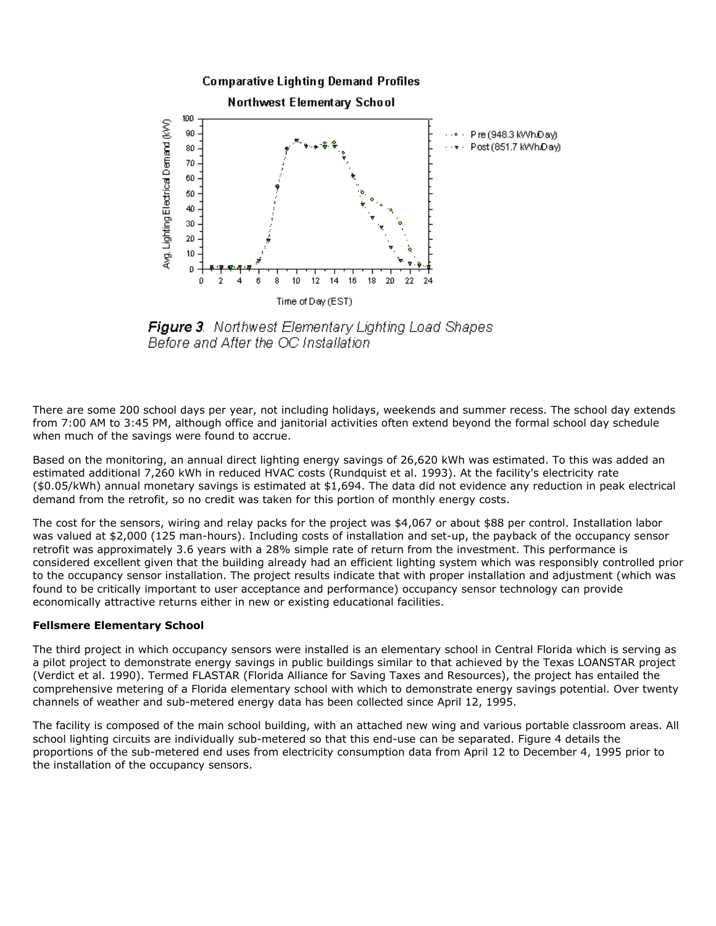

**Figure 3**. Northwest Elementary Lighting Load Shapes Before and After the OC Installation

There are some 200 school days per year, not including holidays, weekends and summer recess. The school day extends from 7:00 AM to 3:45 PM, although office and janitorial activities often extend beyond the formal school day schedule when much of the savings were found to accrue.

Based on the monitoring, an annual direct lighting energy savings of 26,620 kWh was estimated. To this was added an estimated additional 7,260 kWh in reduced HVAC costs (Rundquist et al. 1993). At the facility's electricity rate (\$0.05/kWh) annual monetary savings is estimated at \$1,694. The data did not evidence any reduction in peak electrical demand from the retrofit, so no credit was taken for this portion of monthly energy costs.

The cost for the sensors, wiring and relay packs for the project was \$4,067 or about \$88 per control. Installation labor was valued at \$2,000 (125 man-hours). Including costs of installation and set-up, the payback of the occupancy sensor retrofit was approximately 3.6 years with a 28% simple rate of return from the investment. This performance is considered excellent given that the building already had an efficient lighting system which was responsibly controlled prior to the occupancy sensor installation. The project results indicate that with proper installation and adjustment (which was found to be critically important to user acceptance and performance) occupancy sensor technology can provide economically attractive returns either in new or existing educational facilities.

#### **Fellsmere Elementary School**

The third project in which occupancy sensors were installed is an elementary school in Central Florida which is serving as a pilot project to demonstrate energy savings in public buildings similar to that achieved by the Texas LOANSTAR project (Verdict et al. 1990). Termed FLASTAR (Florida Alliance for Saving Taxes and Resources), the project has entailed the comprehensive metering of a Florida elementary school with which to demonstrate energy savings potential. Over twenty channels of weather and sub-metered energy data has been collected since April 12, 1995.

The facility is composed of the main school building, with an attached new wing and various portable classroom areas. All school lighting circuits are individually sub-metered so that this end-use can be separated. Figure 4 details the proportions of the sub-metered end uses from electricity consumption data from April 12 to December 4, 1995 prior to the installation of the occupancy sensors.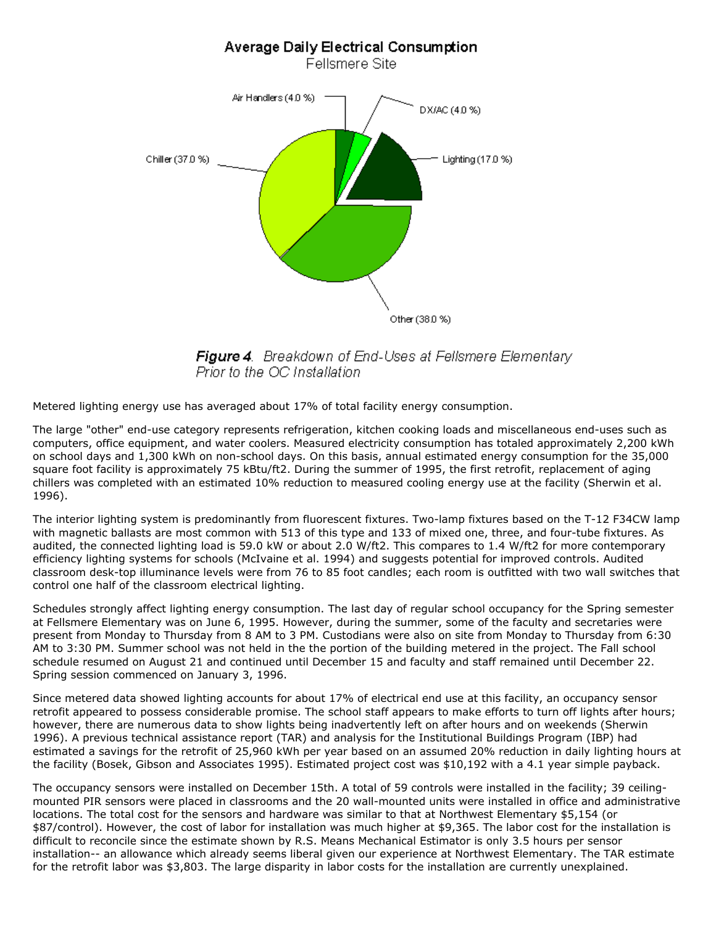

**Figure 4**. Breakdown of End-Uses at Fellsmere Elementary Prior to the OC Installation

Metered lighting energy use has averaged about 17% of total facility energy consumption.

The large "other" end-use category represents refrigeration, kitchen cooking loads and miscellaneous end-uses such as computers, office equipment, and water coolers. Measured electricity consumption has totaled approximately 2,200 kWh on school days and 1,300 kWh on non-school days. On this basis, annual estimated energy consumption for the 35,000 square foot facility is approximately 75 kBtu/ft2. During the summer of 1995, the first retrofit, replacement of aging chillers was completed with an estimated 10% reduction to measured cooling energy use at the facility (Sherwin et al. 1996).

The interior lighting system is predominantly from fluorescent fixtures. Two-lamp fixtures based on the T-12 F34CW lamp with magnetic ballasts are most common with 513 of this type and 133 of mixed one, three, and four-tube fixtures. As audited, the connected lighting load is 59.0 kW or about 2.0 W/ft2. This compares to 1.4 W/ft2 for more contemporary efficiency lighting systems for schools (McIvaine et al. 1994) and suggests potential for improved controls. Audited classroom desk-top illuminance levels were from 76 to 85 foot candles; each room is outfitted with two wall switches that control one half of the classroom electrical lighting.

Schedules strongly affect lighting energy consumption. The last day of regular school occupancy for the Spring semester at Fellsmere Elementary was on June 6, 1995. However, during the summer, some of the faculty and secretaries were present from Monday to Thursday from 8 AM to 3 PM. Custodians were also on site from Monday to Thursday from 6:30 AM to 3:30 PM. Summer school was not held in the the portion of the building metered in the project. The Fall school schedule resumed on August 21 and continued until December 15 and faculty and staff remained until December 22. Spring session commenced on January 3, 1996.

Since metered data showed lighting accounts for about 17% of electrical end use at this facility, an occupancy sensor retrofit appeared to possess considerable promise. The school staff appears to make efforts to turn off lights after hours; however, there are numerous data to show lights being inadvertently left on after hours and on weekends (Sherwin 1996). A previous technical assistance report (TAR) and analysis for the Institutional Buildings Program (IBP) had estimated a savings for the retrofit of 25,960 kWh per year based on an assumed 20% reduction in daily lighting hours at the facility (Bosek, Gibson and Associates 1995). Estimated project cost was \$10,192 with a 4.1 year simple payback.

The occupancy sensors were installed on December 15th. A total of 59 controls were installed in the facility; 39 ceilingmounted PIR sensors were placed in classrooms and the 20 wall-mounted units were installed in office and administrative locations. The total cost for the sensors and hardware was similar to that at Northwest Elementary \$5,154 (or \$87/control). However, the cost of labor for installation was much higher at \$9,365. The labor cost for the installation is difficult to reconcile since the estimate shown by R.S. Means Mechanical Estimator is only 3.5 hours per sensor installation-- an allowance which already seems liberal given our experience at Northwest Elementary. The TAR estimate for the retrofit labor was \$3,803. The large disparity in labor costs for the installation are currently unexplained.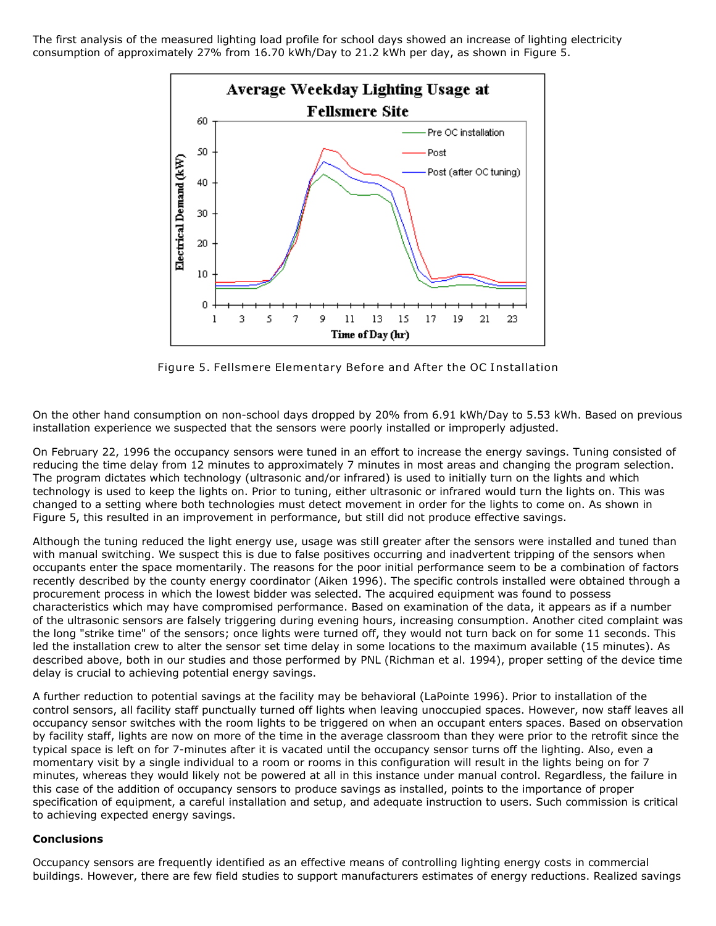The first analysis of the measured lighting load profile for school days showed an increase of lighting electricity consumption of approximately 27% from 16.70 kWh/Day to 21.2 kWh per day, as shown in Figure 5.



Figure 5. Fellsmere Elementary Before and After the OC Installation

On the other hand consumption on non-school days dropped by 20% from 6.91 kWh/Day to 5.53 kWh. Based on previous installation experience we suspected that the sensors were poorly installed or improperly adjusted.

On February 22, 1996 the occupancy sensors were tuned in an effort to increase the energy savings. Tuning consisted of reducing the time delay from 12 minutes to approximately 7 minutes in most areas and changing the program selection. The program dictates which technology (ultrasonic and/or infrared) is used to initially turn on the lights and which technology is used to keep the lights on. Prior to tuning, either ultrasonic or infrared would turn the lights on. This was changed to a setting where both technologies must detect movement in order for the lights to come on. As shown in Figure 5, this resulted in an improvement in performance, but still did not produce effective savings.

Although the tuning reduced the light energy use, usage was still greater after the sensors were installed and tuned than with manual switching. We suspect this is due to false positives occurring and inadvertent tripping of the sensors when occupants enter the space momentarily. The reasons for the poor initial performance seem to be a combination of factors recently described by the county energy coordinator (Aiken 1996). The specific controls installed were obtained through a procurement process in which the lowest bidder was selected. The acquired equipment was found to possess characteristics which may have compromised performance. Based on examination of the data, it appears as if a number of the ultrasonic sensors are falsely triggering during evening hours, increasing consumption. Another cited complaint was the long "strike time" of the sensors; once lights were turned off, they would not turn back on for some 11 seconds. This led the installation crew to alter the sensor set time delay in some locations to the maximum available (15 minutes). As described above, both in our studies and those performed by PNL (Richman et al. 1994), proper setting of the device time delay is crucial to achieving potential energy savings.

A further reduction to potential savings at the facility may be behavioral (LaPointe 1996). Prior to installation of the control sensors, all facility staff punctually turned off lights when leaving unoccupied spaces. However, now staff leaves all occupancy sensor switches with the room lights to be triggered on when an occupant enters spaces. Based on observation by facility staff, lights are now on more of the time in the average classroom than they were prior to the retrofit since the typical space is left on for 7-minutes after it is vacated until the occupancy sensor turns off the lighting. Also, even a momentary visit by a single individual to a room or rooms in this configuration will result in the lights being on for 7 minutes, whereas they would likely not be powered at all in this instance under manual control. Regardless, the failure in this case of the addition of occupancy sensors to produce savings as installed, points to the importance of proper specification of equipment, a careful installation and setup, and adequate instruction to users. Such commission is critical to achieving expected energy savings.

#### **Conclusions**

Occupancy sensors are frequently identified as an effective means of controlling lighting energy costs in commercial buildings. However, there are few field studies to support manufacturers estimates of energy reductions. Realized savings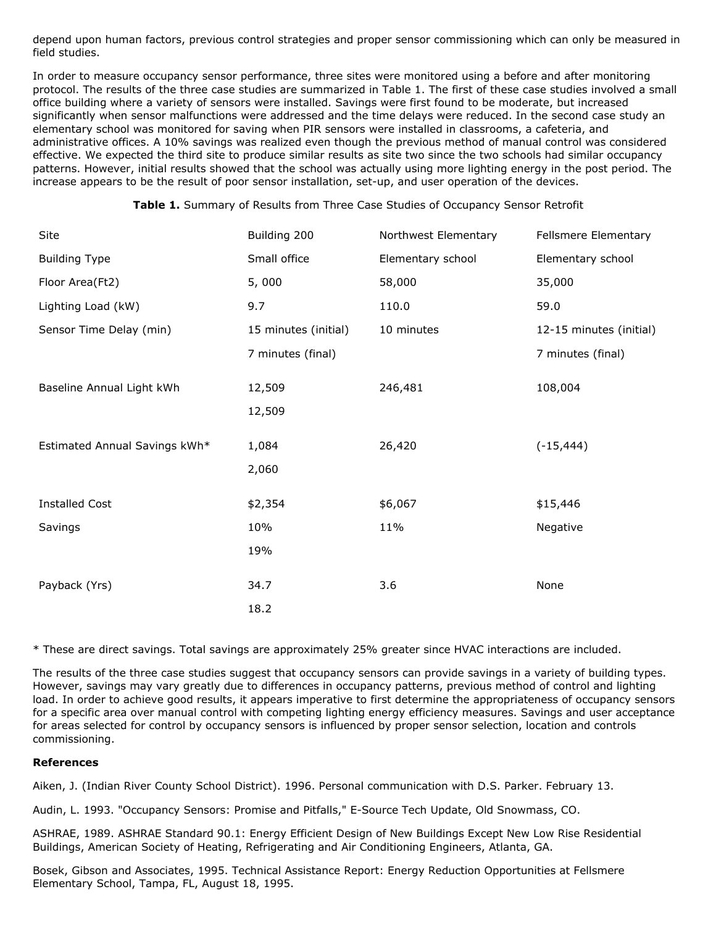depend upon human factors, previous control strategies and proper sensor commissioning which can only be measured in field studies.

In order to measure occupancy sensor performance, three sites were monitored using a before and after monitoring protocol. The results of the three case studies are summarized in Table 1. The first of these case studies involved a small office building where a variety of sensors were installed. Savings were first found to be moderate, but increased significantly when sensor malfunctions were addressed and the time delays were reduced. In the second case study an elementary school was monitored for saving when PIR sensors were installed in classrooms, a cafeteria, and administrative offices. A 10% savings was realized even though the previous method of manual control was considered effective. We expected the third site to produce similar results as site two since the two schools had similar occupancy patterns. However, initial results showed that the school was actually using more lighting energy in the post period. The increase appears to be the result of poor sensor installation, set-up, and user operation of the devices.

| Site                          | Building 200         | Northwest Elementary | Fellsmere Elementary    |
|-------------------------------|----------------------|----------------------|-------------------------|
| <b>Building Type</b>          | Small office         | Elementary school    | Elementary school       |
| Floor Area(Ft2)               | 5,000                | 58,000               | 35,000                  |
| Lighting Load (kW)            | 9.7                  | 110.0                | 59.0                    |
| Sensor Time Delay (min)       | 15 minutes (initial) | 10 minutes           | 12-15 minutes (initial) |
|                               | 7 minutes (final)    |                      | 7 minutes (final)       |
| Baseline Annual Light kWh     | 12,509               | 246,481              | 108,004                 |
|                               | 12,509               |                      |                         |
| Estimated Annual Savings kWh* | 1,084                | 26,420               | $(-15, 444)$            |
|                               | 2,060                |                      |                         |
| <b>Installed Cost</b>         | \$2,354              | \$6,067              | \$15,446                |
| Savings                       | 10%                  | 11%                  | Negative                |
|                               | 19%                  |                      |                         |
| Payback (Yrs)                 | 34.7                 | 3.6                  | None                    |
|                               | 18.2                 |                      |                         |

**Table 1.** Summary of Results from Three Case Studies of Occupancy Sensor Retrofit

\* These are direct savings. Total savings are approximately 25% greater since HVAC interactions are included.

The results of the three case studies suggest that occupancy sensors can provide savings in a variety of building types. However, savings may vary greatly due to differences in occupancy patterns, previous method of control and lighting load. In order to achieve good results, it appears imperative to first determine the appropriateness of occupancy sensors for a specific area over manual control with competing lighting energy efficiency measures. Savings and user acceptance for areas selected for control by occupancy sensors is influenced by proper sensor selection, location and controls commissioning.

## **References**

Aiken, J. (Indian River County School District). 1996. Personal communication with D.S. Parker. February 13.

Audin, L. 1993. "Occupancy Sensors: Promise and Pitfalls," E-Source Tech Update, Old Snowmass, CO.

ASHRAE, 1989. ASHRAE Standard 90.1: Energy Efficient Design of New Buildings Except New Low Rise Residential Buildings, American Society of Heating, Refrigerating and Air Conditioning Engineers, Atlanta, GA.

Bosek, Gibson and Associates, 1995. Technical Assistance Report: Energy Reduction Opportunities at Fellsmere Elementary School, Tampa, FL, August 18, 1995.